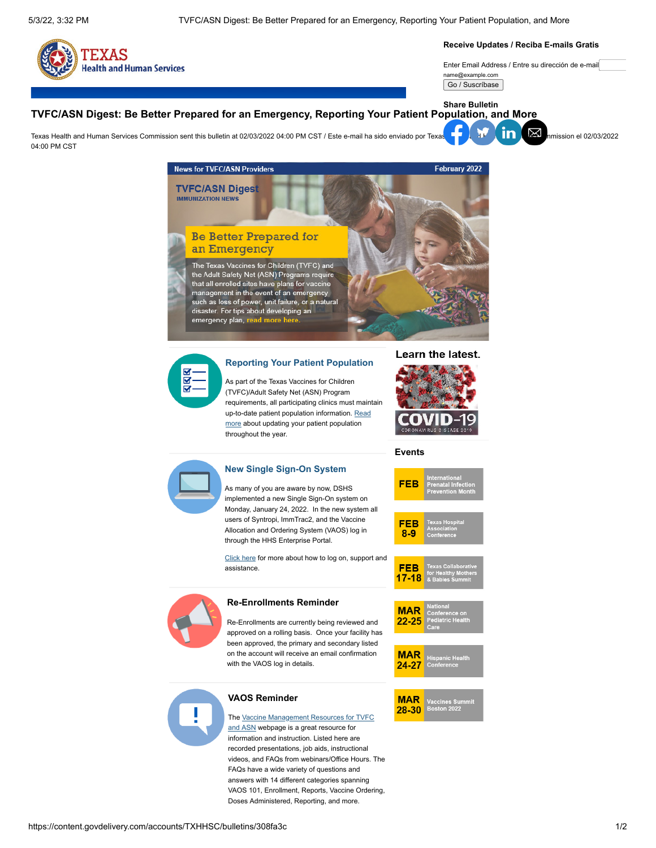

#### **Receive Updates / Reciba E-mails Gratis**

Enter Email Address / Entre su dirección de e-mail name@example.com

#### Go / Suscríbase

### **TVFC/ASN Digest: Be Better Prepared for an Emergency, Reporting Your Patient Population, and More Share Bulletin**

Texa[s Health](https://www.facebook.com/sharer.php?u=https://content.govdelivery.com/accounts/TXHHSC/bulletins/308fa3c) [and Hum](https://twitter.com/intent/tweet?url=https://content.govdelivery.com/accounts/TXHHSC/bulletins/308fa3c%2F&text=TVFC/ASN%20Digest:%20Be%20Better%20Prepared%20for%20an%20Emergency,%20Reporting%20Your%20Patient%20Population,%20and%20More)[an Serv](https://www.linkedin.com/shareArticle?mini=true&url=https://content.govdelivery.com/accounts/TXHHSC/bulletins/308fa3c%2F&source=govDelivery)[ices Com](mailto:?subject=TVFC/ASN%20Digest:%20Be%20Better%20Prepared%20for%20an%20Emergency,%20Reporting%20Your%20Patient%20Population,%20and%20More&body=https://content.govdelivery.com/accounts/TXHHSC/bulletins/308fa3c)mission sent this bulletin at 02/03/2022 04:00 PM CST / Este e-mail ha sido enviado por Texas Health and Human Services Commission el 02/03/2022 04:00 PM CST





## **[Reporting Your Patient Population](http://www.dshs.texas.gov/immunize/Immunization-News/TVFC-ASN-Digest/How-To-Report-Your-Patient-Population/)**

As part of the Texas Vaccines for Children (TVFC)/Adult Safety Net (ASN) Program requirements, all participating clinics must maintain [up-to-date patient population information. Read](http://www.dshs.texas.gov/immunize/Immunization-News/TVFC-ASN-Digest/How-To-Report-Your-Patient-Population/) more about updating your patient population throughout the year.



## **Events**

FEE



#### implemented a new Single Sign-On system on Monday, January 24, 2022. In the new system all users of Syntropi, ImmTrac2, and the Vaccine **FEB** Allocation and Ordering System (VAOS) log in  $8-9$ through the HHS Enterprise Portal. [Click here](http://www.dshs.texas.gov/immunize/Immunization-News/TVFC-ASN-Digest/New-Single-Sign-On-System/) for more about how to log on, support and assistance. **FEB** 17.19 **Re-Enrollments Reminder MAR**  $22 - 25$ Re-Enrollments are currently being reviewed and approved on a rolling basis. Once your facility has been approved, the primary and secondary listed on the account will receive an email confirmation **MAR** with the VAOS log in details.  $24 - 27$ **VAOS Reminder MAR** accines<br>Lootan 31 28-30 [The Vaccine Management Resources for TVFC](https://www.dshs.texas.gov/immunize/Vaccine-Management-Resources-for-TVFC-and-ASN/) and ASN webpage is a great resource for

information and instruction. Listed here are recorded presentations, job aids, instructional videos, and FAQs from webinars/Office Hours. The FAQs have a wide variety of questions and answers with 14 different categories spanning VAOS 101, Enrollment, Reports, Vaccine Ordering, Doses Administered, Reporting, and more.